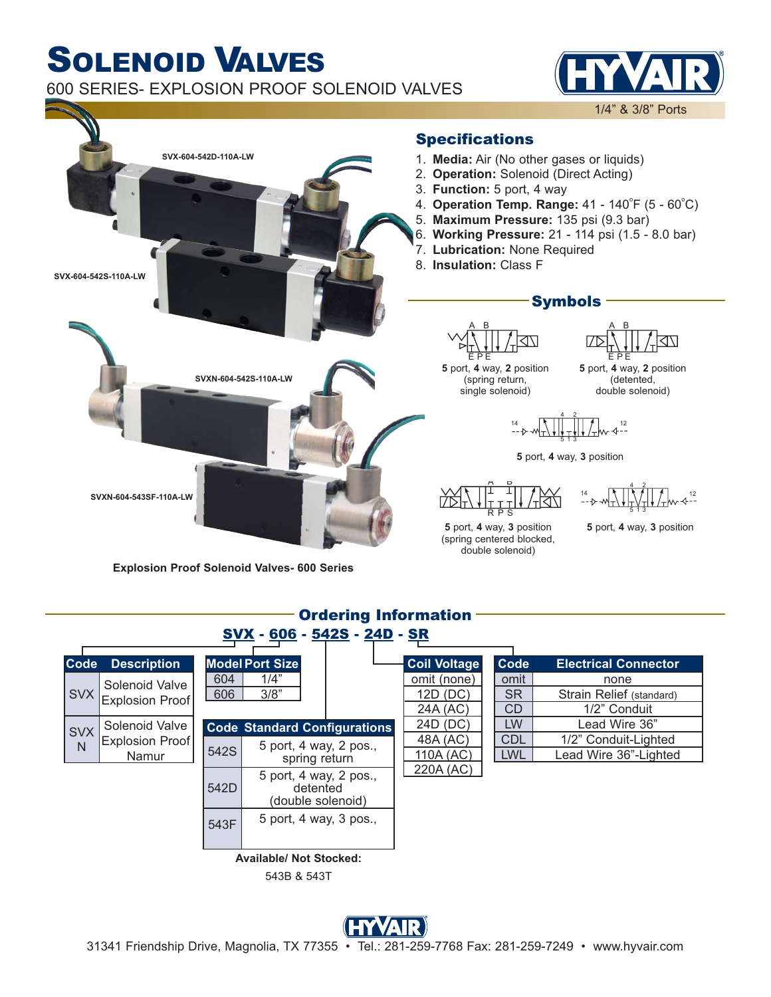## SOLENOID VALVES 600 SERIES- EXPLOSION PROOF SOLENOID VALVES

1/4" & 3/8" Ports



**Explosion Proof Solenoid Valves- 600 Series**

| <u>Underling Thilorination</u> |                                            |                                                                       |                                         |  |  |                                     |                         |                                                  |
|--------------------------------|--------------------------------------------|-----------------------------------------------------------------------|-----------------------------------------|--|--|-------------------------------------|-------------------------|--------------------------------------------------|
| SVX - 606 - 542S - 24D - SR    |                                            |                                                                       |                                         |  |  |                                     |                         |                                                  |
| <b>Code</b>                    | <b>Description</b>                         |                                                                       | <b>Model Port Size</b>                  |  |  | Coil Voltage                        | Code                    | <b>Electrical Connector</b>                      |
| <b>SVX</b>                     | Solenoid Valve<br><b>Explosion Proof</b>   | 604<br>606                                                            | 1/4"<br>3/8"                            |  |  | omit (none)<br>12D (DC)<br>24A (AC) | omit<br><b>SR</b><br>CD | none<br>Strain Relief (standard)<br>1/2" Conduit |
| <b>SVX</b><br>N                | Solenoid Valve<br>Explosion Proof<br>Namur | <b>Code Standard Configurations</b><br>5 port, 4 way, 2 pos.,<br>542S |                                         |  |  | 24D (DC)<br>48A (AC)                | <b>LW</b><br><b>CDL</b> | Lead Wire 36"<br>1/2" Conduit-Lighted            |
|                                |                                            |                                                                       | spring return<br>5 port, 4 way, 2 pos., |  |  | 110A (AC)<br>220A (AC)              | <b>LWL</b>              | Lead Wire 36"-Lighted                            |
|                                |                                            | 542D                                                                  | detented<br>(double solenoid)           |  |  |                                     |                         |                                                  |
|                                |                                            | 543F                                                                  | 5 port, 4 way, 3 pos.,                  |  |  |                                     |                         |                                                  |
| <b>Available/ Not Stocked:</b> |                                            |                                                                       |                                         |  |  |                                     |                         |                                                  |
|                                | 543B & 543T                                |                                                                       |                                         |  |  |                                     |                         |                                                  |

Ordering Information